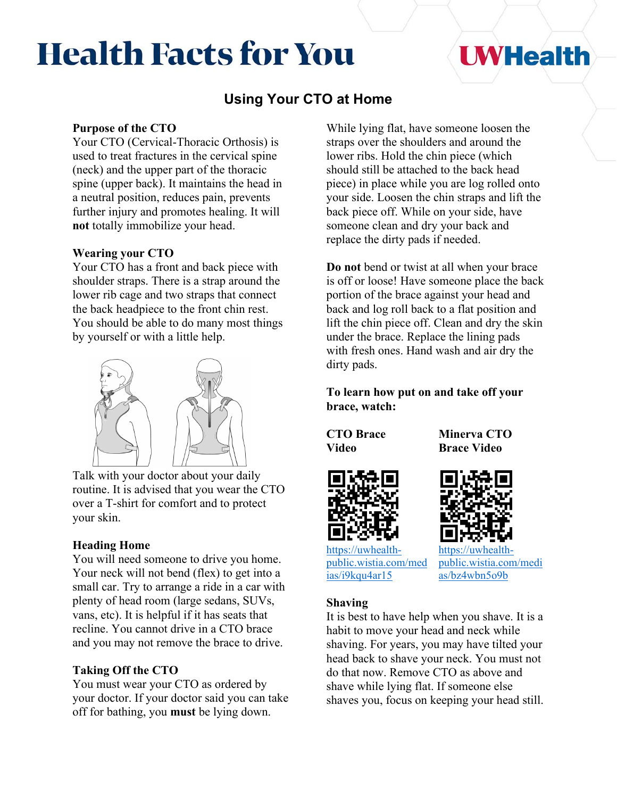# **Health Facts for You**

## **UWHealth**

### **Using Your CTO at Home**

#### **Purpose of the CTO**

Your CTO (Cervical-Thoracic Orthosis) is used to treat fractures in the cervical spine (neck) and the upper part of the thoracic spine (upper back). It maintains the head in a neutral position, reduces pain, prevents further injury and promotes healing. It will **not** totally immobilize your head.

#### **Wearing your CTO**

Your CTO has a front and back piece with shoulder straps. There is a strap around the lower rib cage and two straps that connect the back headpiece to the front chin rest. You should be able to do many most things by yourself or with a little help.



Talk with your doctor about your daily routine. It is advised that you wear the CTO over a T-shirt for comfort and to protect your skin.

#### **Heading Home**

You will need someone to drive you home. Your neck will not bend (flex) to get into a small car. Try to arrange a ride in a car with plenty of head room (large sedans, SUVs, vans, etc). It is helpful if it has seats that recline. You cannot drive in a CTO brace and you may not remove the brace to drive.

#### **Taking Off the CTO**

You must wear your CTO as ordered by your doctor. If your doctor said you can take off for bathing, you **must** be lying down.

While lying flat, have someone loosen the straps over the shoulders and around the lower ribs. Hold the chin piece (which should still be attached to the back head piece) in place while you are log rolled onto your side. Loosen the chin straps and lift the back piece off. While on your side, have someone clean and dry your back and replace the dirty pads if needed.

**Do not** bend or twist at all when your brace is off or loose! Have someone place the back portion of the brace against your head and back and log roll back to a flat position and lift the chin piece off. Clean and dry the skin under the brace. Replace the lining pads with fresh ones. Hand wash and air dry the dirty pads.

**To learn how put on and take off your brace, watch:**

**CTO Brace Video**







[https://uwhealth](https://uwhealth-public.wistia.com/medias/i9kqu4ar15)[public.wistia.com/med](https://uwhealth-public.wistia.com/medias/i9kqu4ar15) [ias/i9kqu4ar15](https://uwhealth-public.wistia.com/medias/i9kqu4ar15)

[https://uwhealth](https://uwhealth-public.wistia.com/medias/bz4wbn5o9b)[public.wistia.com/medi](https://uwhealth-public.wistia.com/medias/bz4wbn5o9b) [as/bz4wbn5o9b](https://uwhealth-public.wistia.com/medias/bz4wbn5o9b)

#### **Shaving**

It is best to have help when you shave. It is a habit to move your head and neck while shaving. For years, you may have tilted your head back to shave your neck. You must not do that now. Remove CTO as above and shave while lying flat. If someone else shaves you, focus on keeping your head still.